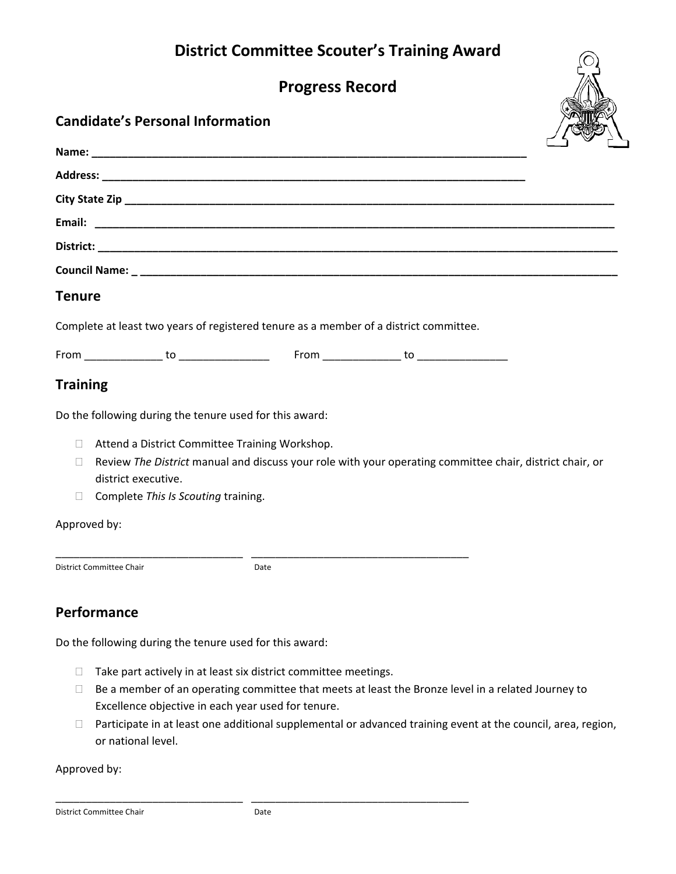# **District Committee Scouter's Training Award**

**Progress Record**

### **Candidate's Personal Information**

|               |                                                                                       | <b>SERVICE</b> |
|---------------|---------------------------------------------------------------------------------------|----------------|
|               |                                                                                       |                |
|               |                                                                                       |                |
|               |                                                                                       |                |
|               |                                                                                       |                |
|               |                                                                                       |                |
|               |                                                                                       |                |
| <b>Tenure</b> |                                                                                       |                |
|               | Complete at least two years of registered tenure as a member of a district committee. |                |
|               |                                                                                       |                |

### **Training**

Do the following during the tenure used for this award:

- □ Attend a District Committee Training Workshop.
- Review *The District* manual and discuss your role with your operating committee chair, district chair, or district executive.
- Complete *This Is Scouting* training.

#### Approved by:

District Committee Chair **District Committee Chair** 

\_\_\_\_\_\_\_\_\_\_\_\_\_\_\_\_\_\_\_\_\_\_\_\_\_\_\_\_\_\_\_ \_\_\_\_\_\_\_\_\_\_\_\_\_\_\_\_\_\_\_\_\_\_\_\_\_\_\_\_\_\_\_\_\_\_\_\_

## **Performance**

Do the following during the tenure used for this award:

- $\Box$  Take part actively in at least six district committee meetings.
- $\Box$  Be a member of an operating committee that meets at least the Bronze level in a related Journey to Excellence objective in each year used for tenure.
- □ Participate in at least one additional supplemental or advanced training event at the council, area, region, or national level.

Approved by: